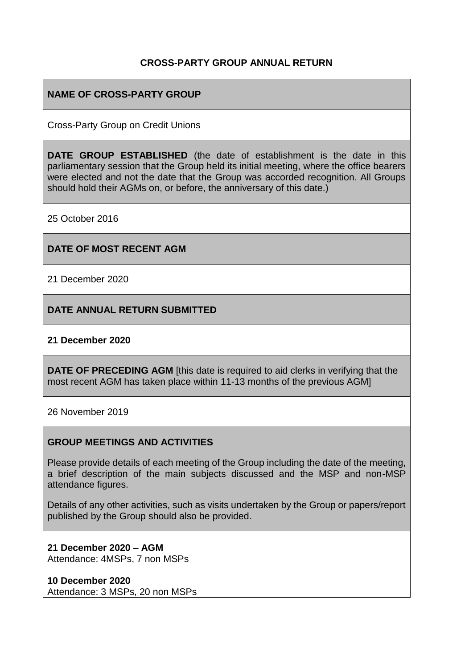### **CROSS-PARTY GROUP ANNUAL RETURN**

## **NAME OF CROSS-PARTY GROUP**

Cross-Party Group on Credit Unions

**DATE GROUP ESTABLISHED** (the date of establishment is the date in this parliamentary session that the Group held its initial meeting, where the office bearers were elected and not the date that the Group was accorded recognition. All Groups should hold their AGMs on, or before, the anniversary of this date.)

25 October 2016

#### **DATE OF MOST RECENT AGM**

21 December 2020

**DATE ANNUAL RETURN SUBMITTED**

#### **21 December 2020**

**DATE OF PRECEDING AGM** [this date is required to aid clerks in verifying that the most recent AGM has taken place within 11-13 months of the previous AGM]

26 November 2019

#### **GROUP MEETINGS AND ACTIVITIES**

Please provide details of each meeting of the Group including the date of the meeting, a brief description of the main subjects discussed and the MSP and non-MSP attendance figures.

Details of any other activities, such as visits undertaken by the Group or papers/report published by the Group should also be provided.

**21 December 2020 – AGM** Attendance: 4MSPs, 7 non MSPs

**10 December 2020** Attendance: 3 MSPs, 20 non MSPs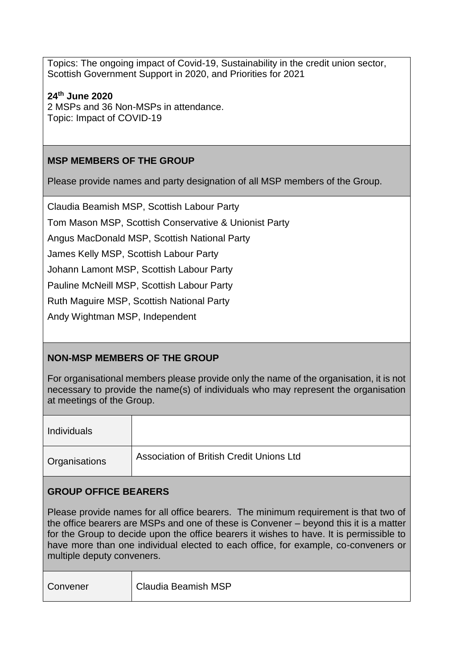Topics: The ongoing impact of Covid-19, Sustainability in the credit union sector, Scottish Government Support in 2020, and Priorities for 2021

**24th June 2020** 2 MSPs and 36 Non-MSPs in attendance. Topic: Impact of COVID-19

## **MSP MEMBERS OF THE GROUP**

Please provide names and party designation of all MSP members of the Group.

Claudia Beamish MSP, Scottish Labour Party

Tom Mason MSP, Scottish Conservative & Unionist Party

Angus MacDonald MSP, Scottish National Party

James Kelly MSP, Scottish Labour Party

Johann Lamont MSP, Scottish Labour Party

Pauline McNeill MSP, Scottish Labour Party

Ruth Maguire MSP, Scottish National Party

Andy Wightman MSP, Independent

# **NON-MSP MEMBERS OF THE GROUP**

For organisational members please provide only the name of the organisation, it is not necessary to provide the name(s) of individuals who may represent the organisation at meetings of the Group.

| <b>Individuals</b> |                                                 |
|--------------------|-------------------------------------------------|
| Organisations      | <b>Association of British Credit Unions Ltd</b> |

## **GROUP OFFICE BEARERS**

Please provide names for all office bearers. The minimum requirement is that two of the office bearers are MSPs and one of these is Convener – beyond this it is a matter for the Group to decide upon the office bearers it wishes to have. It is permissible to have more than one individual elected to each office, for example, co-conveners or multiple deputy conveners.

| Convener | Claudia Beamish MSP |
|----------|---------------------|
|----------|---------------------|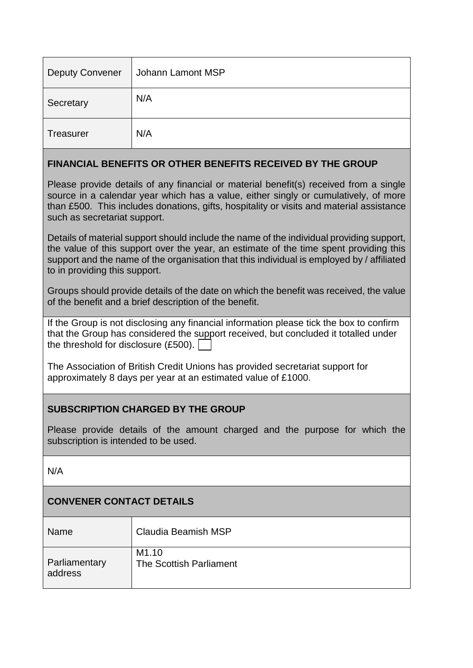| <b>Deputy Convener</b> | Johann Lamont MSP |
|------------------------|-------------------|
| Secretary              | N/A               |
| Treasurer              | N/A               |

## **FINANCIAL BENEFITS OR OTHER BENEFITS RECEIVED BY THE GROUP**

Please provide details of any financial or material benefit(s) received from a single source in a calendar year which has a value, either singly or cumulatively, of more than £500. This includes donations, gifts, hospitality or visits and material assistance such as secretariat support.

Details of material support should include the name of the individual providing support, the value of this support over the year, an estimate of the time spent providing this support and the name of the organisation that this individual is employed by / affiliated to in providing this support.

Groups should provide details of the date on which the benefit was received, the value of the benefit and a brief description of the benefit.

If the Group is not disclosing any financial information please tick the box to confirm that the Group has considered the support received, but concluded it totalled under the threshold for disclosure (£500).

The Association of British Credit Unions has provided secretariat support for approximately 8 days per year at an estimated value of £1000.

# **SUBSCRIPTION CHARGED BY THE GROUP**

Please provide details of the amount charged and the purpose for which the subscription is intended to be used.

N/A

# **CONVENER CONTACT DETAILS**

| Name          | Claudia Beamish MSP     |
|---------------|-------------------------|
| Parliamentary | M <sub>1.10</sub>       |
| address       | The Scottish Parliament |